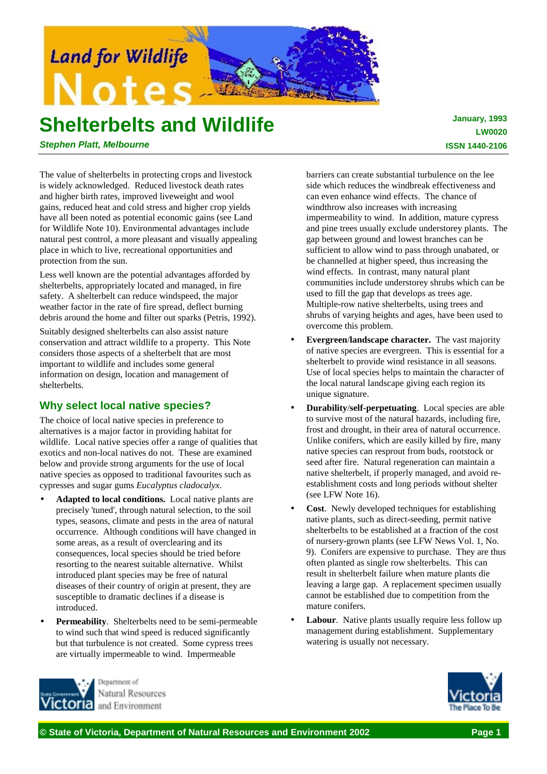

# **Shelterbelts and Wildlife**

 **January, 1993 LW0020 ISSN 1440-2106**

*Stephen Platt, Melbourne*

The value of shelterbelts in protecting crops and livestock is widely acknowledged. Reduced livestock death rates and higher birth rates, improved liveweight and wool gains, reduced heat and cold stress and higher crop yields have all been noted as potential economic gains (see Land for Wildlife Note 10). Environmental advantages include natural pest control, a more pleasant and visually appealing place in which to live, recreational opportunities and protection from the sun.

Less well known are the potential advantages afforded by shelterbelts, appropriately located and managed, in fire safety. A shelterbelt can reduce windspeed, the major weather factor in the rate of fire spread, deflect burning debris around the home and filter out sparks (Petris, 1992).

Suitably designed shelterbelts can also assist nature conservation and attract wildlife to a property. This Note considers those aspects of a shelterbelt that are most important to wildlife and includes some general information on design, location and management of shelterbelts.

# **Why select local native species?**

The choice of local native species in preference to alternatives is a major factor in providing habitat for wildlife. Local native species offer a range of qualities that exotics and non-local natives do not. These are examined below and provide strong arguments for the use of local native species as opposed to traditional favourites such as cypresses and sugar gums *Eucalyptus cladocalyx*.

- Adapted to local conditions. Local native plants are precisely 'tuned', through natural selection, to the soil types, seasons, climate and pests in the area of natural occurrence. Although conditions will have changed in some areas, as a result of overclearing and its consequences, local species should be tried before resorting to the nearest suitable alternative. Whilst introduced plant species may be free of natural diseases of their country of origin at present, they are susceptible to dramatic declines if a disease is introduced.
- **Permeability.** Shelterbelts need to be semi-permeable to wind such that wind speed is reduced significantly but that turbulence is not created. Some cypress trees are virtually impermeable to wind. Impermeable



barriers can create substantial turbulence on the lee side which reduces the windbreak effectiveness and can even enhance wind effects. The chance of windthrow also increases with increasing impermeability to wind. In addition, mature cypress and pine trees usually exclude understorey plants. The gap between ground and lowest branches can be sufficient to allow wind to pass through unabated, or be channelled at higher speed, thus increasing the wind effects. In contrast, many natural plant communities include understorey shrubs which can be used to fill the gap that develops as trees age. Multiple-row native shelterbelts, using trees and shrubs of varying heights and ages, have been used to overcome this problem.

- **Evergreen**/**landscape character.** The vast majority of native species are evergreen. This is essential for a shelterbelt to provide wind resistance in all seasons. Use of local species helps to maintain the character of the local natural landscape giving each region its unique signature.
- **Durability**/**self-perpetuating**. Local species are able to survive most of the natural hazards, including fire, frost and drought, in their area of natural occurrence. Unlike conifers, which are easily killed by fire, many native species can resprout from buds, rootstock or seed after fire. Natural regeneration can maintain a native shelterbelt, if properly managed, and avoid reestablishment costs and long periods without shelter (see LFW Note 16).
- **Cost**. Newly developed techniques for establishing native plants, such as direct-seeding, permit native shelterbelts to be established at a fraction of the cost of nursery-grown plants (see LFW News Vol. 1, No. 9). Conifers are expensive to purchase. They are thus often planted as single row shelterbelts. This can result in shelterbelt failure when mature plants die leaving a large gap. A replacement specimen usually cannot be established due to competition from the mature conifers.
- **Labour.** Native plants usually require less follow up management during establishment. Supplementary watering is usually not necessary.

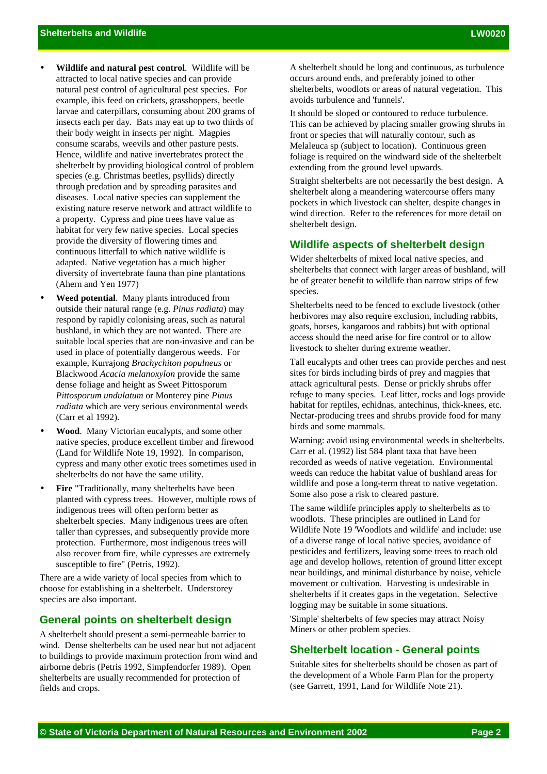- **Wildlife and natural pest control**. Wildlife will be attracted to local native species and can provide natural pest control of agricultural pest species. For example, ibis feed on crickets, grasshoppers, beetle larvae and caterpillars, consuming about 200 grams of insects each per day. Bats may eat up to two thirds of their body weight in insects per night. Magpies consume scarabs, weevils and other pasture pests. Hence, wildlife and native invertebrates protect the shelterbelt by providing biological control of problem species (e.g. Christmas beetles, psyllids) directly through predation and by spreading parasites and diseases. Local native species can supplement the existing nature reserve network and attract wildlife to a property. Cypress and pine trees have value as habitat for very few native species. Local species provide the diversity of flowering times and continuous litterfall to which native wildlife is adapted. Native vegetation has a much higher diversity of invertebrate fauna than pine plantations (Ahern and Yen 1977)
- **Weed potential**. Many plants introduced from outside their natural range (e.g. *Pinus radiata*) may respond by rapidly colonising areas, such as natural bushland, in which they are not wanted. There are suitable local species that are non-invasive and can be used in place of potentially dangerous weeds. For example, Kurrajong *Brachychiton populneus* or Blackwood *Acacia melanoxylon* provide the same dense foliage and height as Sweet Pittosporum *Pittosporum undulatum* or Monterey pine *Pinus radiata* which are very serious environmental weeds (Carr et al 1992).
- **Wood**. Many Victorian eucalypts, and some other native species, produce excellent timber and firewood (Land for Wildlife Note 19, 1992). In comparison, cypress and many other exotic trees sometimes used in shelterbelts do not have the same utility.
- **Fire** "Traditionally, many shelterbelts have been planted with cypress trees. However, multiple rows of indigenous trees will often perform better as shelterbelt species. Many indigenous trees are often taller than cypresses, and subsequently provide more protection. Furthermore, most indigenous trees will also recover from fire, while cypresses are extremely susceptible to fire" (Petris, 1992).

There are a wide variety of local species from which to choose for establishing in a shelterbelt. Understorey species are also important.

# **General points on shelterbelt design**

A shelterbelt should present a semi-permeable barrier to wind. Dense shelterbelts can be used near but not adjacent to buildings to provide maximum protection from wind and airborne debris (Petris 1992, Simpfendorfer 1989). Open shelterbelts are usually recommended for protection of fields and crops.

A shelterbelt should be long and continuous, as turbulence occurs around ends, and preferably joined to other shelterbelts, woodlots or areas of natural vegetation. This avoids turbulence and 'funnels'.

It should be sloped or contoured to reduce turbulence. This can be achieved by placing smaller growing shrubs in front or species that will naturally contour, such as Melaleuca sp (subject to location). Continuous green foliage is required on the windward side of the shelterbelt extending from the ground level upwards.

Straight shelterbelts are not necessarily the best design. A shelterbelt along a meandering watercourse offers many pockets in which livestock can shelter, despite changes in wind direction. Refer to the references for more detail on shelterbelt design.

#### **Wildlife aspects of shelterbelt design**

Wider shelterbelts of mixed local native species, and shelterbelts that connect with larger areas of bushland, will be of greater benefit to wildlife than narrow strips of few species.

Shelterbelts need to be fenced to exclude livestock (other herbivores may also require exclusion, including rabbits, goats, horses, kangaroos and rabbits) but with optional access should the need arise for fire control or to allow livestock to shelter during extreme weather.

Tall eucalypts and other trees can provide perches and nest sites for birds including birds of prey and magpies that attack agricultural pests. Dense or prickly shrubs offer refuge to many species. Leaf litter, rocks and logs provide habitat for reptiles, echidnas, antechinus, thick-knees, etc. Nectar-producing trees and shrubs provide food for many birds and some mammals.

Warning: avoid using environmental weeds in shelterbelts. Carr et al. (1992) list 584 plant taxa that have been recorded as weeds of native vegetation. Environmental weeds can reduce the habitat value of bushland areas for wildlife and pose a long-term threat to native vegetation. Some also pose a risk to cleared pasture.

The same wildlife principles apply to shelterbelts as to woodlots. These principles are outlined in Land for Wildlife Note 19 'Woodlots and wildlife' and include: use of a diverse range of local native species, avoidance of pesticides and fertilizers, leaving some trees to reach old age and develop hollows, retention of ground litter except near buildings, and minimal disturbance by noise, vehicle movement or cultivation. Harvesting is undesirable in shelterbelts if it creates gaps in the vegetation. Selective logging may be suitable in some situations.

'Simple' shelterbelts of few species may attract Noisy Miners or other problem species.

## **Shelterbelt location - General points**

Suitable sites for shelterbelts should be chosen as part of the development of a Whole Farm Plan for the property (see Garrett, 1991, Land for Wildlife Note 21).